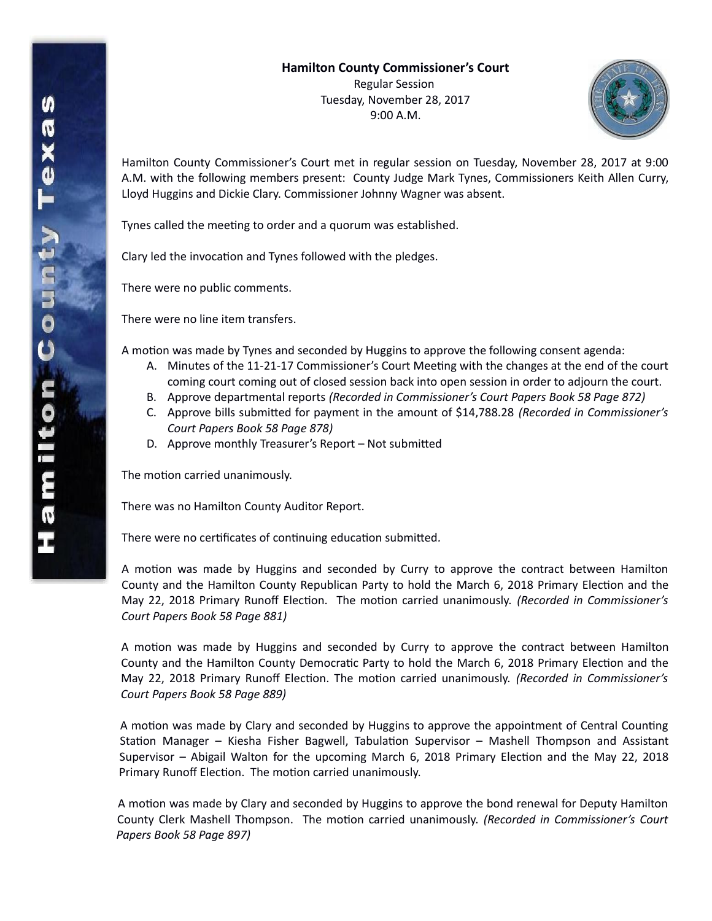

Hamilton County Commissioner's Court met in regular session on Tuesday, November 28, 2017 at 9:00 A.M. with the following members present: County Judge Mark Tynes, Commissioners Keith Allen Curry, Lloyd Huggins and Dickie Clary. Commissioner Johnny Wagner was absent.

Tynes called the meeting to order and a quorum was established.

Clary led the invocation and Tynes followed with the pledges.

There were no public comments.

There were no line item transfers.

A motion was made by Tynes and seconded by Huggins to approve the following consent agenda:

- A. Minutes of the 11-21-17 Commissioner's Court Meeting with the changes at the end of the court coming court coming out of closed session back into open session in order to adjourn the court.
- B. Approve departmental reports *(Recorded in Commissioner's Court Papers Book 58 Page 872)*
- C. Approve bills submitted for payment in the amount of \$14,788.28 *(Recorded in Commissioner's Court Papers Book 58 Page 878)*
- D. Approve monthly Treasurer's Report Not submitted

The motion carried unanimously.

There was no Hamilton County Auditor Report.

There were no certificates of continuing education submitted*.*

A motion was made by Huggins and seconded by Curry to approve the contract between Hamilton County and the Hamilton County Republican Party to hold the March 6, 2018 Primary Election and the May 22, 2018 Primary Runoff Election. The motion carried unanimously. *(Recorded in Commissioner's Court Papers Book 58 Page 881)*

A motion was made by Huggins and seconded by Curry to approve the contract between Hamilton County and the Hamilton County Democratic Party to hold the March 6, 2018 Primary Election and the May 22, 2018 Primary Runoff Election. The motion carried unanimously. *(Recorded in Commissioner's Court Papers Book 58 Page 889)*

A motion was made by Clary and seconded by Huggins to approve the appointment of Central Counting Station Manager – Kiesha Fisher Bagwell, Tabulation Supervisor – Mashell Thompson and Assistant Supervisor – Abigail Walton for the upcoming March 6, 2018 Primary Election and the May 22, 2018 Primary Runoff Election. The motion carried unanimously.

A motion was made by Clary and seconded by Huggins to approve the bond renewal for Deputy Hamilton County Clerk Mashell Thompson. The motion carried unanimously. *(Recorded in Commissioner's Court Papers Book 58 Page 897)*